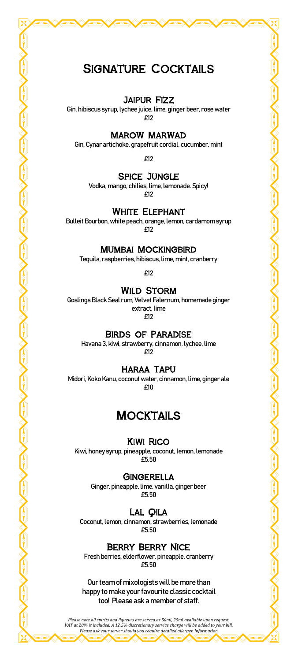# SIGNATURE COCKTAILS

### Jaipur Fizz

Gin, hibiscus syrup, lychee juice, lime, ginger beer, rose water £12

#### Marow Marwad

Gin, Cynar artichoke, grapefruit cordial, cucumber, mint

£12

#### Spice Jungle

Vodka, mango, chilies, lime, lemonade. Spicy! £12

#### White Elephant

Bulleit Bourbon, white peach, orange, lemon, cardamom syrup £12

Mumbai Mockingbird

Tequila, raspberries, hibiscus, lime, mint, cranberry

£12

### **WILD STORM**

Goslings Black Seal rum, Velvet Falernum, homemade ginger extract, lime £12

### Birds of Paradise

Havana 3, kiwi, strawberry, cinnamon, lychee, lime £12

#### Haraa Tapu

Midori, Koko Kanu, coconut water, cinnamon, lime, ginger ale £10

## **MOCKTAILS**

#### Kiwi Rico

Kiwi, honey syrup, pineapple, coconut, lemon, lemonade £5.50

#### **GINGERELLA**

Ginger, pineapple, lime, vanilla, ginger beer £5.50

#### Lal Qila

Coconut, lemon, cinnamon, strawberries, lemonade £5.50

### Berry Berry Nice

Fresh berries, elderflower, pineapple, cranberry £5.50

Our team of mixologists will be more than happy to make your favourite classic cocktail too! Please ask a member of staff.

*Please note all spirits and liqueurs are served as 50ml, 25ml available upon request. VAT at 20% is included. A 12.5% discretionary service charge will be added to your bill. Please ask your server should you require detailed allergen information*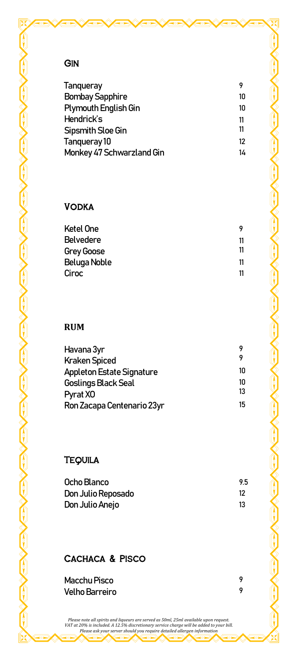## **GIN**

| Tanqueray                   |    |
|-----------------------------|----|
| <b>Bombay Sapphire</b>      | 10 |
| <b>Plymouth English Gin</b> | 10 |
| Hendrick's                  | 11 |
| Sipsmith Sloe Gin           | 11 |
| Tangueray 10                | 12 |
| Monkey 47 Schwarzland Gin   | 14 |
|                             |    |

## **VODKA**

| Ketel One         |    |
|-------------------|----|
| <b>Belvedere</b>  | 11 |
| <b>Grey Goose</b> | 11 |
| Beluga Noble      | 11 |
| Ciroc             | 11 |
|                   |    |

## **RUM**

| Havana 3yr                 | 9  |
|----------------------------|----|
| <b>Kraken Spiced</b>       | 9  |
| Appleton Estate Signature  | 10 |
| Goslings Black Seal        | 10 |
| Pyrat X0                   | 13 |
| Ron Zacapa Centenario 23yr | 15 |

## **TEQUILA**

| Ocho Blanco        | 9.5 |
|--------------------|-----|
| Don Julio Reposado | 12  |
| Don Julio Anejo    | 13  |

## CACHACA & PISCO

Macchu Pisco 9 **Velho Barreiro** 

Please note all spirits and liqueurs are served as 50ml, 25ml available upon request.<br>VAT at 20% is included. A 12.5% discretionary service charge will be added to your bill.<br>Please ask your server should you require detai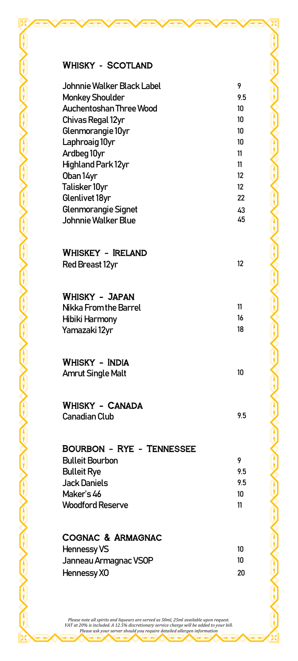## WHISKY - SCOTLAND

| Johnnie Walker Black Label                  | 9        |
|---------------------------------------------|----------|
| <b>Monkey Shoulder</b>                      | 9.5      |
| Auchentoshan Three Wood                     | 10       |
| Chivas Regal 12yr                           | 10       |
| Glenmorangie 10yr                           | 10       |
| Laphroaig 10yr                              | 10       |
| Ardbeg 10yr                                 | 11       |
| <b>Highland Park 12yr</b><br>Oban 14yr      | 11<br>12 |
| Talisker 10yr                               | 12       |
| Glenlivet 18yr                              | 22       |
| Glenmorangie Signet                         | 43       |
| Johnnie Walker Blue                         | 45       |
|                                             |          |
| WHISKEY - IRELAND                           |          |
| <b>Red Breast 12yr</b>                      | 12       |
|                                             |          |
| WHISKY – JAPAN                              |          |
| Nikka From the Barrel                       | 11       |
| Hibiki Harmony                              | 16       |
| Yamazaki 12yr                               | 18       |
|                                             |          |
| Whisky - India                              |          |
| <b>Amrut Single Malt</b>                    | 10       |
|                                             |          |
| WHISKY – CANADA                             |          |
| Canadian Club                               | 9.5      |
|                                             |          |
| BOURBON - RYE - TENNESSEE                   |          |
| <b>Bulleit Bourbon</b>                      | 9        |
| <b>Bulleit Rye</b>                          | 9.5      |
| <b>Jack Daniels</b>                         | 9.5      |
| Maker's 46                                  | 10       |
| <b>Woodford Reserve</b>                     | 11       |
|                                             |          |
| COGNAC & ARMAGNAC                           | 10       |
| <b>Hennessy VS</b><br>Janneau Armagnac VSOP | 10       |
| Hennessy XO                                 | 20       |
|                                             |          |

Please note all spirits and liqueurs are served as 50ml, 25ml available upon request.<br>VAT at 20% is included. A 12.5% discretionary service charge will be added to your bill.<br>Please ask your server should you require detai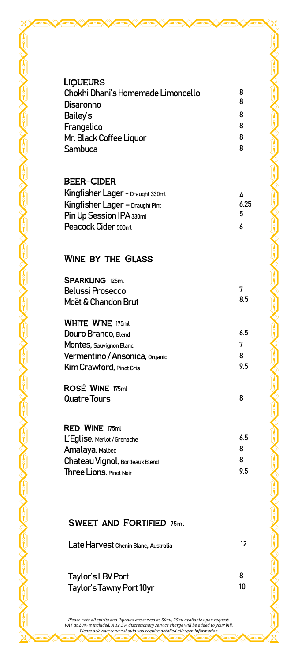| <b>LIQUEURS</b><br>Chokhi Dhani's Homemade Limoncello<br>Disaronno<br>Bailey's<br>Frangelico<br>Mr. Black Coffee Liquor<br>Sambuca          | 8<br>8<br>8<br>8<br>8<br>8 |
|---------------------------------------------------------------------------------------------------------------------------------------------|----------------------------|
| <b>BEER-CIDER</b><br>Kingfisher Lager - Draught 330ml<br>Kingfisher Lager - Draught Pint<br>Pin Up Session IPA 330ml<br>Peacock Cider 500ml | 4<br>6.25<br>5<br>6        |
| <b>WINE BY THE GLASS</b>                                                                                                                    |                            |
| <b>SPARKLING 125ml</b><br><b>Belussi Prosecco</b><br>Moët & Chandon Brut                                                                    | 7<br>8.5                   |
| <b>WHITE WINE 175ml</b><br>Douro Branco, Blend<br>Montes, Sauvignon Blanc<br>Vermentino / Ansonica, Organic<br>Kim Crawford, Pinot Gris     | 6.5<br>7<br>8<br>9.5       |
| ROSÉ WINE 175ml<br>Quatre Tours                                                                                                             | 8                          |
| <b>RED WINE 175ml</b><br>L'Eglise, Merlot / Grenache<br>Amalaya, Malbec<br>Chateau Vignol, Bordeaux Blend<br>Three Lions. Pinot Noir        | 6.5<br>8<br>8<br>9.5       |
| <b>SWEET AND FORTIFIED 75ml</b>                                                                                                             |                            |
| Late Harvest Chenin Blanc, Australia                                                                                                        | 12                         |

Taylor's LBV Port 8

Please note all spirits and liqueurs are served as 50ml, 25ml available upon request.<br>VAT at 20% is included. A 12.5% discretionary service charge will be added to your bill.<br>Please ask your server should you require detai

Taylor's Tawny Port 10yr 10